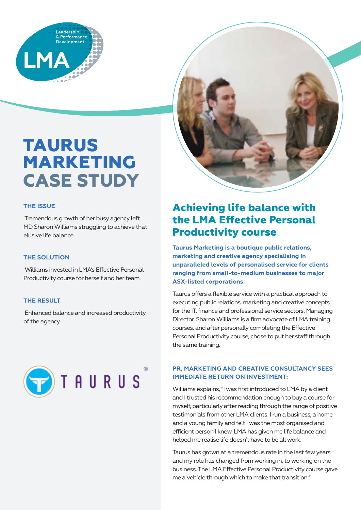

# **TAURUS MARKETING CASE STUDY**

#### **THE ISSUE**

 Tremendous growth of her busy agency left MD Sharon Williams struggling to achieve that elusive life balance.

#### **THE SOLUTION**

 Williams invested in LMA's Effective Personal Productivity course for herself and her team.

#### **THE RESULT**

 Enhanced balance and increased productivity of the agency.





**Taurus Marketing is a boutique public relations, marketing and creative agency specialising in unparalleled levels of personalised service for clients ranging from small-to-medium businesses to major ASX-listed corporations.**

Taurus offers a flexible service with a practical approach to executing public relations, marketing and creative concepts for the IT, finance and professional service sectors. Managing Director, Sharon Williams is a firm advocate of LMA training courses, and after personally completing the Effective Personal Productivity course, chose to put her staff through the same training.

#### **PR, MARKETING AND CREATIVE CONSULTANCY SEES IMMEDIATE RETURN ON INVESTMENT:**

Williams explains, "I was first introduced to LMA by a client and I trusted his recommendation enough to buy a course for myself, particularly after reading through the range of positive testimonials from other LMA clients. I run a business, a home and a young family and felt I was the most organised and efficient person I knew. LMA has given me life balance and helped me realise life doesn't have to be all work.

Taurus has grown at a tremendous rate in the last few years and my role has changed from working in, to working on the business. The LMA Effective Personal Productivity course gave me a vehicle through which to make that transition."